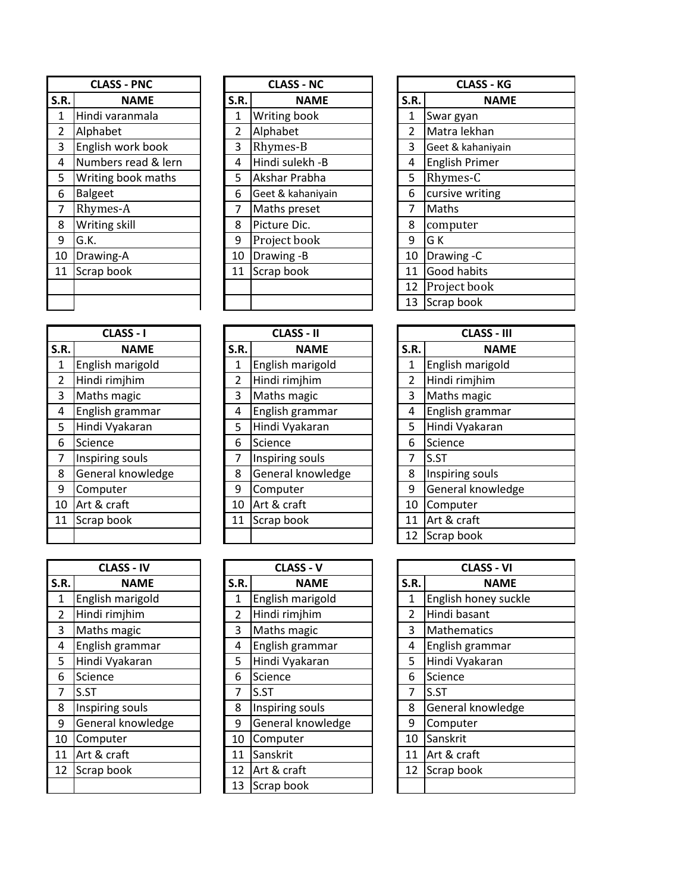| <b>CLASS - PNC</b> |                     |      | <b>CLASS - NC</b> |  |      | <b>CLASS - KG</b>     |
|--------------------|---------------------|------|-------------------|--|------|-----------------------|
| S.R.               | <b>NAME</b>         | S.R. | <b>NAME</b>       |  | S.R. | <b>NAME</b>           |
| $\mathbf{1}$       | Hindi varanmala     | 1    | Writing book      |  | 1    | Swar gyan             |
| $\overline{2}$     | Alphabet            | 2    | Alphabet          |  | 2    | Matra lekhan          |
| 3                  | English work book   | 3    | Rhymes-B          |  | 3    | Geet & kahaniyain     |
| 4                  | Numbers read & lern | 4    | Hindi sulekh -B   |  | 4    | <b>English Primer</b> |
| 5                  | Writing book maths  | 5    | Akshar Prabha     |  | 5    | Rhymes-C              |
| 6                  | <b>Balgeet</b>      | 6    | Geet & kahaniyain |  | 6    | cursive writing       |
| 7                  | Rhymes-A            | 7    | Maths preset      |  | 7    | Maths                 |
| 8                  | Writing skill       | 8    | Picture Dic.      |  | 8    | computer              |
| 9                  | G.K.                | 9    | Project book      |  | 9    | G K                   |
| 10                 | Drawing-A           | 10   | Drawing -B        |  | 10   | Drawing -C            |
| 11                 | Scrap book          | 11   | Scrap book        |  | 11   | Good habits           |
|                    |                     |      |                   |  | 12   | Project book          |
|                    |                     |      |                   |  | 13   | Scrap book            |

| <b>CLASS - PNC</b>  |            | <b>CLASS - NC</b> |                 |                                                               | <b>CLASS - KG</b> |                       |  |
|---------------------|------------|-------------------|-----------------|---------------------------------------------------------------|-------------------|-----------------------|--|
| <b>NAME</b>         |            | S.R.              | <b>NAME</b>     |                                                               | S.R.              | <b>NAME</b>           |  |
| Hindi varanmala     |            | 1                 | Writing book    |                                                               | 1                 | Swar gyan             |  |
| Alphabet            |            | 2                 | Alphabet        |                                                               | $\overline{2}$    | Matra lekhan          |  |
| English work book   |            | 3                 | Rhymes-B        |                                                               | 3                 | Geet & kahaniyain     |  |
| Numbers read & lern |            | 4                 | Hindi sulekh -B |                                                               | 4                 | <b>English Primer</b> |  |
| Writing book maths  |            | 5                 | Akshar Prabha   |                                                               | 5                 | Rhymes-C              |  |
| <b>Balgeet</b>      |            | 6                 |                 |                                                               | 6                 | cursive writing       |  |
| Rhymes-A            |            | 7                 |                 |                                                               | 7                 | Maths                 |  |
| Writing skill       |            | 8                 | Picture Dic.    |                                                               | 8                 | computer              |  |
| G.K.                |            | 9                 | Project book    |                                                               | 9                 | G K                   |  |
| Drawing-A           |            | 10                |                 |                                                               | 10                | Drawing -C            |  |
|                     |            | 11                |                 |                                                               | 11                | Good habits           |  |
|                     |            |                   |                 |                                                               | 12                | Project book          |  |
|                     |            |                   |                 |                                                               | 13                | Scrap book            |  |
| .R.                 | Scrap book |                   |                 | Geet & kahaniyain<br>Maths preset<br>Drawing -B<br>Scrap book |                   |                       |  |

|                | <b>CLASS - KG</b>     |  |  |  |  |  |
|----------------|-----------------------|--|--|--|--|--|
| S.R.           | NAME                  |  |  |  |  |  |
| 1              | Swar gyan             |  |  |  |  |  |
| $\overline{2}$ | Matra lekhan          |  |  |  |  |  |
| 3              | Geet & kahaniyain     |  |  |  |  |  |
| 4              | <b>English Primer</b> |  |  |  |  |  |
| 5              | Rhymes-C              |  |  |  |  |  |
| 6              | cursive writing       |  |  |  |  |  |
| 7              | Maths                 |  |  |  |  |  |
| 8              | computer              |  |  |  |  |  |
| 9              | G K                   |  |  |  |  |  |
| 10             | Drawing -C            |  |  |  |  |  |
| 11             | Good habits           |  |  |  |  |  |
| 12             | Project book          |  |  |  |  |  |
| 13             | Scrap book            |  |  |  |  |  |

|                | <b>CLASS - I</b>  |
|----------------|-------------------|
| S.R.           | <b>NAME</b>       |
| 1              | English marigold  |
| $\overline{2}$ | Hindi rimjhim     |
| 3              | Maths magic       |
| 4              | English grammar   |
| 5              | Hindi Vyakaran    |
| 6              | Science           |
| 7              | Inspiring souls   |
| 8              | General knowledge |
| 9              | Computer          |
| 10             | Art & craft       |
| 11             | Scrap book        |
|                |                   |

| <b>CLASS - IV</b> |                   | <b>CLASS - V</b> |      |                   |  | <b>CLASS - VI</b> |                   |
|-------------------|-------------------|------------------|------|-------------------|--|-------------------|-------------------|
| S.R.              | <b>NAME</b>       |                  | S.R. | <b>NAME</b>       |  | S.R.              | <b>NAME</b>       |
| 1                 | English marigold  |                  | 1    | English marigold  |  | 1                 | English honey suc |
| $\overline{2}$    | Hindi rimjhim     |                  | 2    | Hindi rimjhim     |  | $\overline{2}$    | Hindi basant      |
| 3                 | Maths magic       |                  | 3    | Maths magic       |  | 3                 | Mathematics       |
| 4                 | English grammar   |                  | 4    | English grammar   |  | 4                 | English grammar   |
| 5                 | Hindi Vyakaran    |                  | 5    | Hindi Vyakaran    |  | 5                 | Hindi Vyakaran    |
| 6                 | Science           |                  | 6    | Science           |  | 6                 | Science           |
| 7                 | S.ST              |                  | 7    | S.ST              |  | 7                 | S.ST              |
| 8                 | Inspiring souls   |                  | 8    | Inspiring souls   |  | 8                 | General knowledg  |
| 9                 | General knowledge |                  | 9    | General knowledge |  | 9                 | Computer          |
| 10                | Computer          |                  | 10   | Computer          |  | 10                | Sanskrit          |
| 11                | Art & craft       |                  | 11   | Sanskrit          |  | 11                | Art & craft       |
| 12                | Scrap book        |                  | 12   | Art & craft       |  | 12                | Scrap book        |
|                   |                   |                  | 13   | Scrap book        |  |                   |                   |

| <b>LLASS - I</b> |                   | - LLASS - II |                   |  | CLASS - III    |                   |
|------------------|-------------------|--------------|-------------------|--|----------------|-------------------|
| S.R.             | <b>NAME</b>       | S.R.         | <b>NAME</b>       |  | S.R.           | <b>NAME</b>       |
| 1                | English marigold  |              | English marigold  |  | 1              | English marigold  |
| $\overline{2}$   | Hindi rimjhim     | 2            | Hindi rimjhim     |  | $\overline{2}$ | Hindi rimjhim     |
| 3                | Maths magic       | 3            | Maths magic       |  | 3              | Maths magic       |
| 4                | English grammar   | 4            | English grammar   |  | 4              | English grammar   |
| 5                | Hindi Vyakaran    | 5            | Hindi Vyakaran    |  | 5              | Hindi Vyakaran    |
| 6                | Science           | 6            | Science           |  | 6              | Science           |
| 7                | Inspiring souls   | 7            | Inspiring souls   |  | 7              | S.ST              |
| 8                | General knowledge | 8            | General knowledge |  | 8              | Inspiring souls   |
| 9                | Computer          | 9            | Computer          |  | 9              | General knowledge |
| 10               | Art & craft       | 10           | Art & craft       |  | 10             | Computer          |
| 11               | Scrap book        | 11           | Scrap book        |  | 11             | Art & craft       |
|                  |                   |              |                   |  | 12             | Scrap book        |

| <b>CLASS - IV</b> |                                                                                 |      | <b>CLASS - V</b>  |                            |      | <b>CLASS - VI</b>    |
|-------------------|---------------------------------------------------------------------------------|------|-------------------|----------------------------|------|----------------------|
| <b>NAME</b>       |                                                                                 | S.R. | <b>NAME</b>       |                            | S.R. | <b>NAME</b>          |
| English marigold  |                                                                                 | 1    | English marigold  |                            | 1    | English honey suckle |
| Hindi rimjhim     |                                                                                 | 2    | Hindi rimjhim     |                            | 2    | Hindi basant         |
|                   |                                                                                 | 3    |                   |                            | 3    | <b>Mathematics</b>   |
| English grammar   |                                                                                 | 4    | English grammar   |                            | 4    | English grammar      |
| Hindi Vyakaran    |                                                                                 | 5    | Hindi Vyakaran    |                            | 5    | Hindi Vyakaran       |
| Science           |                                                                                 | 6    | Science           |                            | 6    | Science              |
|                   |                                                                                 | 7    | S.ST              |                            | 7    | S.ST                 |
|                   |                                                                                 | 8    | Inspiring souls   |                            | 8    | General knowledge    |
| General knowledge |                                                                                 | 9    | General knowledge |                            | 9    | Computer             |
|                   |                                                                                 | 10   | Computer          |                            | 10   | Sanskrit             |
|                   |                                                                                 | 11   | Sanskrit          |                            | 11   | Art & craft          |
|                   |                                                                                 | 12   |                   |                            | 12   | Scrap book           |
|                   |                                                                                 | 13   | Scrap book        |                            |      |                      |
|                   | Maths magic<br>S.ST<br>Inspiring souls<br>Computer<br>Art & craft<br>Scrap book |      |                   | Maths magic<br>Art & craft |      |                      |

| CLASS - I     |                | <b>CLASS - II</b> |                | <b>CLASS - III</b> |
|---------------|----------------|-------------------|----------------|--------------------|
| <b>NAME</b>   | S.R.           | <b>NAME</b>       | S.R.           | <b>NAME</b>        |
| sh marigold   |                | English marigold  | 1              | English marigold   |
| rimjhim       | $\overline{2}$ | Hindi rimjhim     | $\overline{2}$ | Hindi rimjhim      |
| s magic       | 3              | Maths magic       | 3              | Maths magic        |
| sh grammar    | 4              | English grammar   | 4              | English grammar    |
| Vyakaran      | 5              | Hindi Vyakaran    | 5              | Hindi Vyakaran     |
| ce            | 6              | Science           | 6              | Science            |
| ing souls     | 7              | Inspiring souls   | 7              | S.ST               |
| ral knowledge | 8              | General knowledge | 8              | Inspiring souls    |
| outer         | 9              | Computer          | 9              | General knowledge  |
| craft         | 10             | Art & craft       | 10             | Computer           |
| book          | 11             | Scrap book        | 11             | Art & craft        |
|               |                |                   | 12             | Scrap book         |

|                | <b>CLASS - VI</b>    |
|----------------|----------------------|
| S.R.           | NAME                 |
| 1              | English honey suckle |
| $\overline{2}$ | Hindi basant         |
| 3              | <b>Mathematics</b>   |
| 4              | English grammar      |
| 5              | Hindi Vyakaran       |
| 6              | Science              |
| $\overline{7}$ | S.ST                 |
| 8              | General knowledge    |
| 9              | Computer             |
| 10             | Sanskrit             |
| 11             | Art & craft          |
| 12             | Scrap book           |
|                |                      |